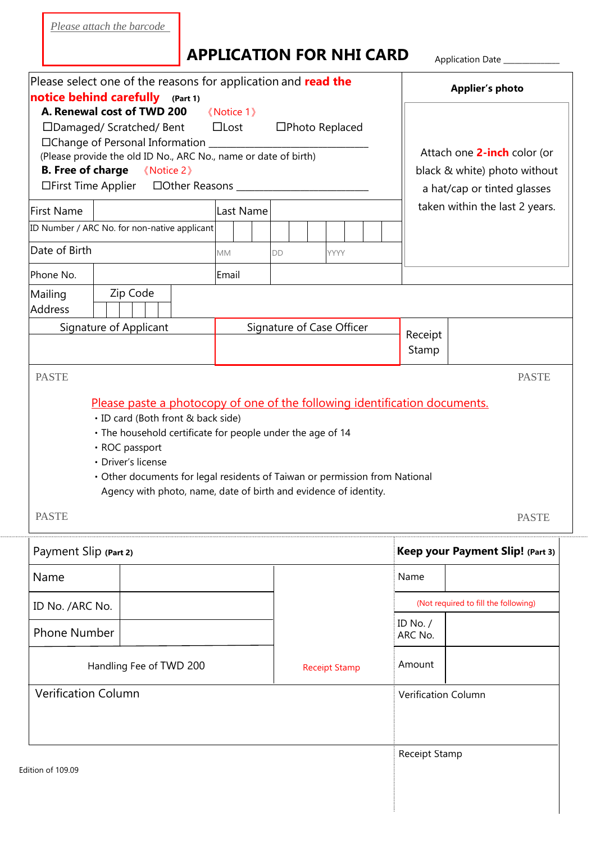*Please attach the barcode*

## **APPLICATION FOR NHI CARD**

Application Date \_\_\_\_\_\_\_\_\_\_\_\_\_\_\_

| Please select one of the reasons for application and read the<br><b>notice behind carefully</b> (Part 1)                                                                                                                                                                                                                |           |                                                                                                                                                 |                       | <b>Applier's photo</b>                                                                                                       |  |
|-------------------------------------------------------------------------------------------------------------------------------------------------------------------------------------------------------------------------------------------------------------------------------------------------------------------------|-----------|-------------------------------------------------------------------------------------------------------------------------------------------------|-----------------------|------------------------------------------------------------------------------------------------------------------------------|--|
| A. Renewal cost of TWD 200<br>$\langle$ Notice 1 $\rangle$<br>$\Box$ Lost<br>□Damaged/ Scratched/ Bent<br>□Photo Replaced<br>□Change of Personal Information<br>(Please provide the old ID No., ARC No., name or date of birth)<br><b>B.</b> Free of charge<br>《Notice 2》<br>□First Time Applier □Other Reasons _______ |           |                                                                                                                                                 |                       | Attach one 2-inch color (or<br>black & white) photo without<br>a hat/cap or tinted glasses<br>taken within the last 2 years. |  |
| <b>First Name</b><br>Last Name                                                                                                                                                                                                                                                                                          |           |                                                                                                                                                 |                       |                                                                                                                              |  |
| ID Number / ARC No. for non-native applicant                                                                                                                                                                                                                                                                            |           |                                                                                                                                                 |                       |                                                                                                                              |  |
| Date of Birth                                                                                                                                                                                                                                                                                                           | <b>MM</b> | DD<br><b>YYYY</b>                                                                                                                               |                       |                                                                                                                              |  |
| Phone No.                                                                                                                                                                                                                                                                                                               | Email     |                                                                                                                                                 |                       |                                                                                                                              |  |
| Zip Code<br>Mailing<br>Address                                                                                                                                                                                                                                                                                          |           |                                                                                                                                                 |                       |                                                                                                                              |  |
| Signature of Applicant                                                                                                                                                                                                                                                                                                  |           | Signature of Case Officer                                                                                                                       | Receipt<br>Stamp      |                                                                                                                              |  |
| <b>PASTE</b>                                                                                                                                                                                                                                                                                                            |           |                                                                                                                                                 |                       | <b>PASTE</b>                                                                                                                 |  |
| <b>PASTE</b>                                                                                                                                                                                                                                                                                                            |           | • Other documents for legal residents of Taiwan or permission from National<br>Agency with photo, name, date of birth and evidence of identity. |                       | <b>PASTE</b>                                                                                                                 |  |
| Payment Slip (Part 2)                                                                                                                                                                                                                                                                                                   |           |                                                                                                                                                 |                       | Keep your Payment Slip! (Part 3)                                                                                             |  |
| Name                                                                                                                                                                                                                                                                                                                    |           |                                                                                                                                                 | Name                  |                                                                                                                              |  |
| ID No. /ARC No.                                                                                                                                                                                                                                                                                                         |           |                                                                                                                                                 |                       | (Not required to fill the following)                                                                                         |  |
| <b>Phone Number</b>                                                                                                                                                                                                                                                                                                     |           |                                                                                                                                                 | ID No. $/$<br>ARC No. |                                                                                                                              |  |
| Handling Fee of TWD 200                                                                                                                                                                                                                                                                                                 |           | <b>Receipt Stamp</b>                                                                                                                            | Amount                |                                                                                                                              |  |
| <b>Verification Column</b>                                                                                                                                                                                                                                                                                              |           |                                                                                                                                                 | Verification Column   |                                                                                                                              |  |
| Edition of 109.09                                                                                                                                                                                                                                                                                                       |           |                                                                                                                                                 | <b>Receipt Stamp</b>  |                                                                                                                              |  |
|                                                                                                                                                                                                                                                                                                                         |           |                                                                                                                                                 |                       |                                                                                                                              |  |